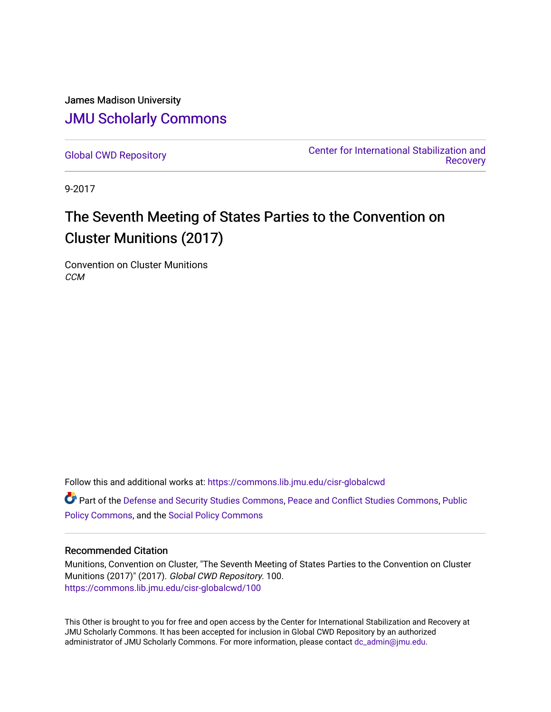James Madison University [JMU Scholarly Commons](https://commons.lib.jmu.edu/)

[Global CWD Repository](https://commons.lib.jmu.edu/cisr-globalcwd) [Center for International Stabilization and](https://commons.lib.jmu.edu/cisr)  **Recovery** 

9-2017

# The Seventh Meeting of States Parties to the Convention on Cluster Munitions (2017)

Convention on Cluster Munitions **CCM** 

Follow this and additional works at: [https://commons.lib.jmu.edu/cisr-globalcwd](https://commons.lib.jmu.edu/cisr-globalcwd?utm_source=commons.lib.jmu.edu%2Fcisr-globalcwd%2F100&utm_medium=PDF&utm_campaign=PDFCoverPages)

Part of the [Defense and Security Studies Commons](http://network.bepress.com/hgg/discipline/394?utm_source=commons.lib.jmu.edu%2Fcisr-globalcwd%2F100&utm_medium=PDF&utm_campaign=PDFCoverPages), [Peace and Conflict Studies Commons](http://network.bepress.com/hgg/discipline/397?utm_source=commons.lib.jmu.edu%2Fcisr-globalcwd%2F100&utm_medium=PDF&utm_campaign=PDFCoverPages), [Public](http://network.bepress.com/hgg/discipline/400?utm_source=commons.lib.jmu.edu%2Fcisr-globalcwd%2F100&utm_medium=PDF&utm_campaign=PDFCoverPages) [Policy Commons](http://network.bepress.com/hgg/discipline/400?utm_source=commons.lib.jmu.edu%2Fcisr-globalcwd%2F100&utm_medium=PDF&utm_campaign=PDFCoverPages), and the [Social Policy Commons](http://network.bepress.com/hgg/discipline/1030?utm_source=commons.lib.jmu.edu%2Fcisr-globalcwd%2F100&utm_medium=PDF&utm_campaign=PDFCoverPages)

#### Recommended Citation

Munitions, Convention on Cluster, "The Seventh Meeting of States Parties to the Convention on Cluster Munitions (2017)" (2017). Global CWD Repository. 100. [https://commons.lib.jmu.edu/cisr-globalcwd/100](https://commons.lib.jmu.edu/cisr-globalcwd/100?utm_source=commons.lib.jmu.edu%2Fcisr-globalcwd%2F100&utm_medium=PDF&utm_campaign=PDFCoverPages)

This Other is brought to you for free and open access by the Center for International Stabilization and Recovery at JMU Scholarly Commons. It has been accepted for inclusion in Global CWD Repository by an authorized administrator of JMU Scholarly Commons. For more information, please contact [dc\\_admin@jmu.edu](mailto:dc_admin@jmu.edu).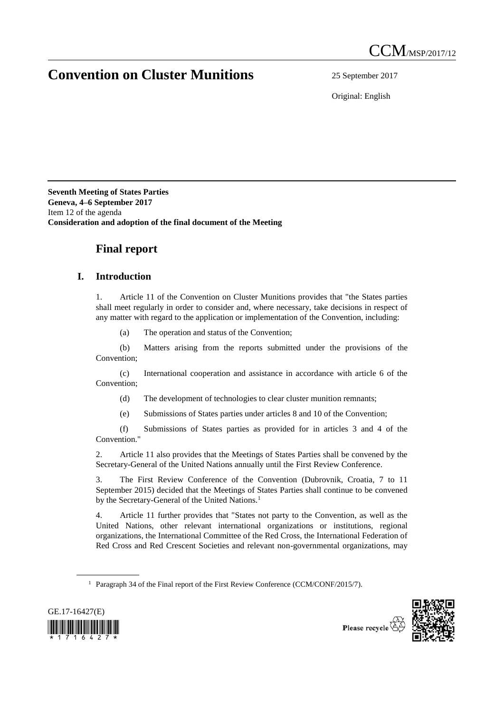# **Convention on Cluster Munitions** 25 September 2017

Original: English

**Seventh Meeting of States Parties Geneva, 4–6 September 2017** Item 12 of the agenda **Consideration and adoption of the final document of the Meeting**

### **Final report**

#### **I. Introduction**

1. Article 11 of the Convention on Cluster Munitions provides that "the States parties shall meet regularly in order to consider and, where necessary, take decisions in respect of any matter with regard to the application or implementation of the Convention, including:

(a) The operation and status of the Convention;

(b) Matters arising from the reports submitted under the provisions of the Convention;

(c) International cooperation and assistance in accordance with article 6 of the Convention;

(d) The development of technologies to clear cluster munition remnants;

(e) Submissions of States parties under articles 8 and 10 of the Convention;

(f) Submissions of States parties as provided for in articles 3 and 4 of the Convention."

2. Article 11 also provides that the Meetings of States Parties shall be convened by the Secretary-General of the United Nations annually until the First Review Conference.

3. The First Review Conference of the Convention (Dubrovnik, Croatia, 7 to 11 September 2015) decided that the Meetings of States Parties shall continue to be convened by the Secretary-General of the United Nations.<sup>1</sup>

4. Article 11 further provides that "States not party to the Convention, as well as the United Nations, other relevant international organizations or institutions, regional organizations, the International Committee of the Red Cross, the International Federation of Red Cross and Red Crescent Societies and relevant non-governmental organizations, may

<sup>&</sup>lt;sup>1</sup> Paragraph 34 of the Final report of the First Review Conference (CCM/CONF/2015/7).



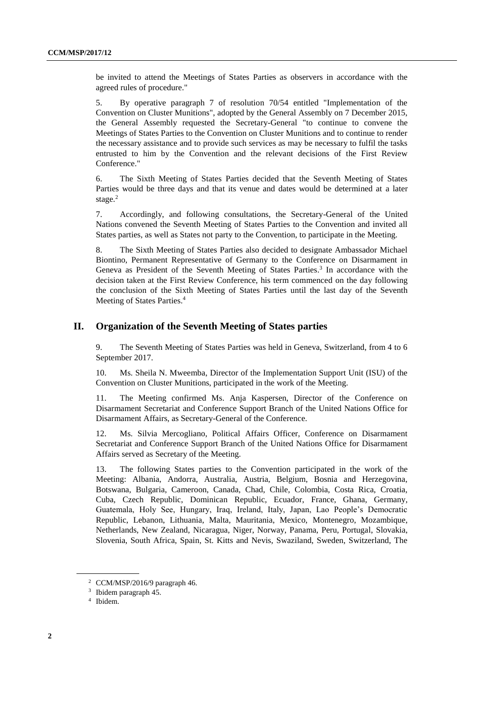be invited to attend the Meetings of States Parties as observers in accordance with the agreed rules of procedure."

5. By operative paragraph 7 of resolution 70/54 entitled "Implementation of the Convention on Cluster Munitions", adopted by the General Assembly on 7 December 2015, the General Assembly requested the Secretary-General "to continue to convene the Meetings of States Parties to the Convention on Cluster Munitions and to continue to render the necessary assistance and to provide such services as may be necessary to fulfil the tasks entrusted to him by the Convention and the relevant decisions of the First Review Conference."

6. The Sixth Meeting of States Parties decided that the Seventh Meeting of States Parties would be three days and that its venue and dates would be determined at a later stage. 2

7. Accordingly, and following consultations, the Secretary-General of the United Nations convened the Seventh Meeting of States Parties to the Convention and invited all States parties, as well as States not party to the Convention, to participate in the Meeting.

8. The Sixth Meeting of States Parties also decided to designate Ambassador Michael Biontino, Permanent Representative of Germany to the Conference on Disarmament in Geneva as President of the Seventh Meeting of States Parties. 3 In accordance with the decision taken at the First Review Conference, his term commenced on the day following the conclusion of the Sixth Meeting of States Parties until the last day of the Seventh Meeting of States Parties. 4

#### **II. Organization of the Seventh Meeting of States parties**

9. The Seventh Meeting of States Parties was held in Geneva, Switzerland, from 4 to 6 September 2017.

10. Ms. Sheila N. Mweemba, Director of the Implementation Support Unit (ISU) of the Convention on Cluster Munitions, participated in the work of the Meeting.

11. The Meeting confirmed Ms. Anja Kaspersen, Director of the Conference on Disarmament Secretariat and Conference Support Branch of the United Nations Office for Disarmament Affairs, as Secretary-General of the Conference.

12. Ms. Silvia Mercogliano, Political Affairs Officer, Conference on Disarmament Secretariat and Conference Support Branch of the United Nations Office for Disarmament Affairs served as Secretary of the Meeting.

13. The following States parties to the Convention participated in the work of the Meeting: Albania, Andorra, Australia, Austria, Belgium, Bosnia and Herzegovina, Botswana, Bulgaria, Cameroon, Canada, Chad, Chile, Colombia, Costa Rica, Croatia, Cuba, Czech Republic, Dominican Republic, Ecuador, France, Ghana, Germany, Guatemala, Holy See, Hungary, Iraq, Ireland, Italy, Japan, Lao People's Democratic Republic, Lebanon, Lithuania, Malta, Mauritania, Mexico, Montenegro, Mozambique, Netherlands, New Zealand, Nicaragua, Niger, Norway, Panama, Peru, Portugal, Slovakia, Slovenia, South Africa, Spain, St. Kitts and Nevis, Swaziland, Sweden, Switzerland, The

<sup>2</sup> CCM/MSP/2016/9 paragraph 46.

<sup>&</sup>lt;sup>3</sup> Ibidem paragraph 45.

<sup>4</sup> Ibidem.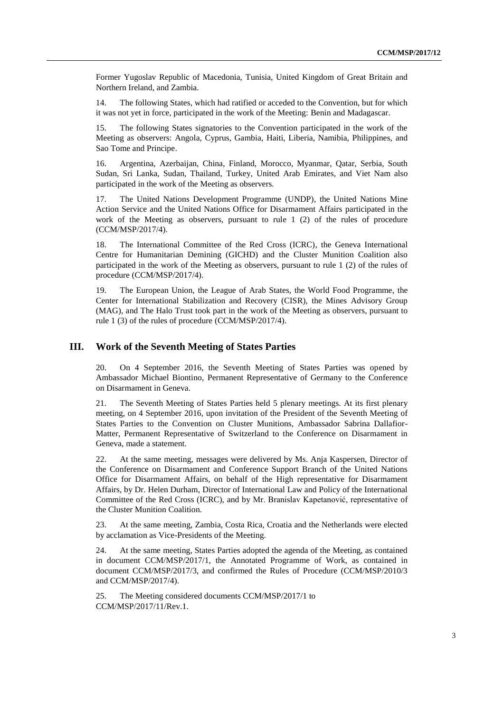Former Yugoslav Republic of Macedonia, Tunisia, United Kingdom of Great Britain and Northern Ireland, and Zambia.

14. The following States, which had ratified or acceded to the Convention, but for which it was not yet in force, participated in the work of the Meeting: Benin and Madagascar.

15. The following States signatories to the Convention participated in the work of the Meeting as observers: Angola, Cyprus, Gambia, Haiti, Liberia, Namibia, Philippines, and Sao Tome and Principe.

16. Argentina, Azerbaijan, China, Finland, Morocco, Myanmar, Qatar, Serbia, South Sudan, Sri Lanka, Sudan, Thailand, Turkey, United Arab Emirates, and Viet Nam also participated in the work of the Meeting as observers.

17. The United Nations Development Programme (UNDP), the United Nations Mine Action Service and the United Nations Office for Disarmament Affairs participated in the work of the Meeting as observers, pursuant to rule 1 (2) of the rules of procedure (CCM/MSP/2017/4).

The International Committee of the Red Cross (ICRC), the Geneva International Centre for Humanitarian Demining (GICHD) and the Cluster Munition Coalition also participated in the work of the Meeting as observers, pursuant to rule 1 (2) of the rules of procedure (CCM/MSP/2017/4).

19. The European Union, the League of Arab States, the World Food Programme, the Center for International Stabilization and Recovery (CISR), the Mines Advisory Group (MAG), and The Halo Trust took part in the work of the Meeting as observers, pursuant to rule 1 (3) of the rules of procedure (CCM/MSP/2017/4).

#### **III. Work of the Seventh Meeting of States Parties**

20. On 4 September 2016, the Seventh Meeting of States Parties was opened by Ambassador Michael Biontino, Permanent Representative of Germany to the Conference on Disarmament in Geneva.

21. The Seventh Meeting of States Parties held 5 plenary meetings. At its first plenary meeting, on 4 September 2016, upon invitation of the President of the Seventh Meeting of States Parties to the Convention on Cluster Munitions, Ambassador Sabrina Dallafior-Matter, Permanent Representative of Switzerland to the Conference on Disarmament in Geneva, made a statement.

22. At the same meeting, messages were delivered by Ms. Anja Kaspersen, Director of the Conference on Disarmament and Conference Support Branch of the United Nations Office for Disarmament Affairs, on behalf of the High representative for Disarmament Affairs, by Dr. Helen Durham, Director of International Law and Policy of the International Committee of the Red Cross (ICRC), and by Mr. Branislav Kapetanović, representative of the Cluster Munition Coalition.

23. At the same meeting, Zambia, Costa Rica, Croatia and the Netherlands were elected by acclamation as Vice-Presidents of the Meeting.

24. At the same meeting, States Parties adopted the agenda of the Meeting, as contained in document CCM/MSP/2017/1, the Annotated Programme of Work, as contained in document CCM/MSP/2017/3, and confirmed the Rules of Procedure (CCM/MSP/2010/3 and CCM/MSP/2017/4).

25. The Meeting considered documents CCM/MSP/2017/1 to CCM/MSP/2017/11/Rev.1.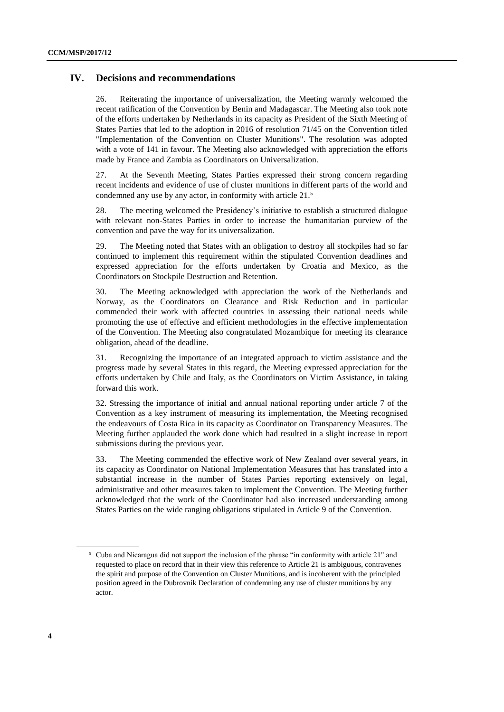#### **IV. Decisions and recommendations**

26. Reiterating the importance of universalization, the Meeting warmly welcomed the recent ratification of the Convention by Benin and Madagascar. The Meeting also took note of the efforts undertaken by Netherlands in its capacity as President of the Sixth Meeting of States Parties that led to the adoption in 2016 of resolution 71/45 on the Convention titled "Implementation of the Convention on Cluster Munitions". The resolution was adopted with a vote of 141 in favour. The Meeting also acknowledged with appreciation the efforts made by France and Zambia as Coordinators on Universalization.

27. At the Seventh Meeting, States Parties expressed their strong concern regarding recent incidents and evidence of use of cluster munitions in different parts of the world and condemned any use by any actor, in conformity with article 21.<sup>5</sup>

28. The meeting welcomed the Presidency's initiative to establish a structured dialogue with relevant non-States Parties in order to increase the humanitarian purview of the convention and pave the way for its universalization.

29. The Meeting noted that States with an obligation to destroy all stockpiles had so far continued to implement this requirement within the stipulated Convention deadlines and expressed appreciation for the efforts undertaken by Croatia and Mexico, as the Coordinators on Stockpile Destruction and Retention.

30. The Meeting acknowledged with appreciation the work of the Netherlands and Norway, as the Coordinators on Clearance and Risk Reduction and in particular commended their work with affected countries in assessing their national needs while promoting the use of effective and efficient methodologies in the effective implementation of the Convention. The Meeting also congratulated Mozambique for meeting its clearance obligation, ahead of the deadline.

31. Recognizing the importance of an integrated approach to victim assistance and the progress made by several States in this regard, the Meeting expressed appreciation for the efforts undertaken by Chile and Italy, as the Coordinators on Victim Assistance, in taking forward this work.

32. Stressing the importance of initial and annual national reporting under article 7 of the Convention as a key instrument of measuring its implementation, the Meeting recognised the endeavours of Costa Rica in its capacity as Coordinator on Transparency Measures. The Meeting further applauded the work done which had resulted in a slight increase in report submissions during the previous year.

33. The Meeting commended the effective work of New Zealand over several years, in its capacity as Coordinator on National Implementation Measures that has translated into a substantial increase in the number of States Parties reporting extensively on legal, administrative and other measures taken to implement the Convention. The Meeting further acknowledged that the work of the Coordinator had also increased understanding among States Parties on the wide ranging obligations stipulated in Article 9 of the Convention.

<sup>5</sup> Cuba and Nicaragua did not support the inclusion of the phrase "in conformity with article 21" and requested to place on record that in their view this reference to Article 21 is ambiguous, contravenes the spirit and purpose of the Convention on Cluster Munitions, and is incoherent with the principled position agreed in the Dubrovnik Declaration of condemning any use of cluster munitions by any actor.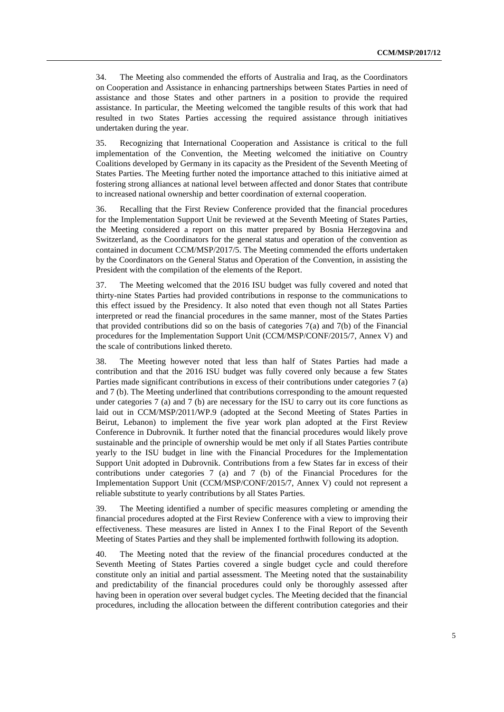34. The Meeting also commended the efforts of Australia and Iraq, as the Coordinators on Cooperation and Assistance in enhancing partnerships between States Parties in need of assistance and those States and other partners in a position to provide the required assistance. In particular, the Meeting welcomed the tangible results of this work that had resulted in two States Parties accessing the required assistance through initiatives undertaken during the year.

35. Recognizing that International Cooperation and Assistance is critical to the full implementation of the Convention, the Meeting welcomed the initiative on Country Coalitions developed by Germany in its capacity as the President of the Seventh Meeting of States Parties. The Meeting further noted the importance attached to this initiative aimed at fostering strong alliances at national level between affected and donor States that contribute to increased national ownership and better coordination of external cooperation.

36. Recalling that the First Review Conference provided that the financial procedures for the Implementation Support Unit be reviewed at the Seventh Meeting of States Parties, the Meeting considered a report on this matter prepared by Bosnia Herzegovina and Switzerland, as the Coordinators for the general status and operation of the convention as contained in document CCM/MSP/2017/5. The Meeting commended the efforts undertaken by the Coordinators on the General Status and Operation of the Convention, in assisting the President with the compilation of the elements of the Report.

37. The Meeting welcomed that the 2016 ISU budget was fully covered and noted that thirty-nine States Parties had provided contributions in response to the communications to this effect issued by the Presidency. It also noted that even though not all States Parties interpreted or read the financial procedures in the same manner, most of the States Parties that provided contributions did so on the basis of categories  $7(a)$  and  $7(b)$  of the Financial procedures for the Implementation Support Unit (CCM/MSP/CONF/2015/7, Annex V) and the scale of contributions linked thereto.

38. The Meeting however noted that less than half of States Parties had made a contribution and that the 2016 ISU budget was fully covered only because a few States Parties made significant contributions in excess of their contributions under categories 7 (a) and 7 (b). The Meeting underlined that contributions corresponding to the amount requested under categories 7 (a) and 7 (b) are necessary for the ISU to carry out its core functions as laid out in CCM/MSP/2011/WP.9 (adopted at the Second Meeting of States Parties in Beirut, Lebanon) to implement the five year work plan adopted at the First Review Conference in Dubrovnik. It further noted that the financial procedures would likely prove sustainable and the principle of ownership would be met only if all States Parties contribute yearly to the ISU budget in line with the Financial Procedures for the Implementation Support Unit adopted in Dubrovnik. Contributions from a few States far in excess of their contributions under categories 7 (a) and 7 (b) of the Financial Procedures for the Implementation Support Unit (CCM/MSP/CONF/2015/7, Annex V) could not represent a reliable substitute to yearly contributions by all States Parties.

39. The Meeting identified a number of specific measures completing or amending the financial procedures adopted at the First Review Conference with a view to improving their effectiveness. These measures are listed in Annex I to the Final Report of the Seventh Meeting of States Parties and they shall be implemented forthwith following its adoption.

40. The Meeting noted that the review of the financial procedures conducted at the Seventh Meeting of States Parties covered a single budget cycle and could therefore constitute only an initial and partial assessment. The Meeting noted that the sustainability and predictability of the financial procedures could only be thoroughly assessed after having been in operation over several budget cycles. The Meeting decided that the financial procedures, including the allocation between the different contribution categories and their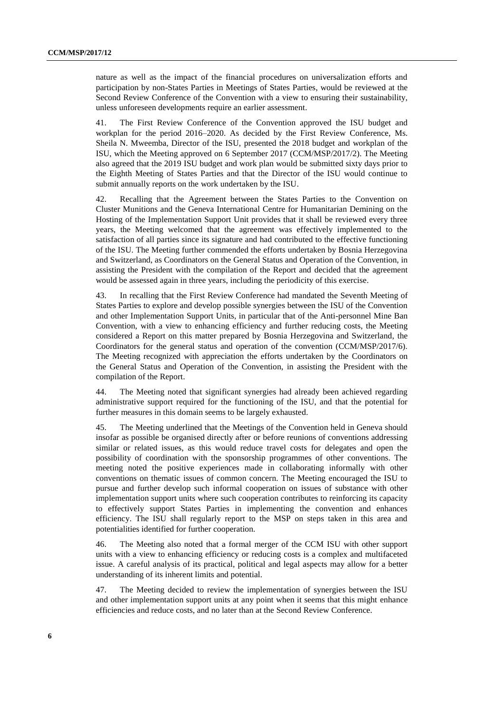nature as well as the impact of the financial procedures on universalization efforts and participation by non-States Parties in Meetings of States Parties, would be reviewed at the Second Review Conference of the Convention with a view to ensuring their sustainability, unless unforeseen developments require an earlier assessment.

41. The First Review Conference of the Convention approved the ISU budget and workplan for the period 2016–2020. As decided by the First Review Conference, Ms. Sheila N. Mweemba, Director of the ISU, presented the 2018 budget and workplan of the ISU, which the Meeting approved on 6 September 2017 (CCM/MSP/2017/2). The Meeting also agreed that the 2019 ISU budget and work plan would be submitted sixty days prior to the Eighth Meeting of States Parties and that the Director of the ISU would continue to submit annually reports on the work undertaken by the ISU.

42. Recalling that the Agreement between the States Parties to the Convention on Cluster Munitions and the Geneva International Centre for Humanitarian Demining on the Hosting of the Implementation Support Unit provides that it shall be reviewed every three years, the Meeting welcomed that the agreement was effectively implemented to the satisfaction of all parties since its signature and had contributed to the effective functioning of the ISU. The Meeting further commended the efforts undertaken by Bosnia Herzegovina and Switzerland, as Coordinators on the General Status and Operation of the Convention, in assisting the President with the compilation of the Report and decided that the agreement would be assessed again in three years, including the periodicity of this exercise.

43. In recalling that the First Review Conference had mandated the Seventh Meeting of States Parties to explore and develop possible synergies between the ISU of the Convention and other Implementation Support Units, in particular that of the Anti-personnel Mine Ban Convention, with a view to enhancing efficiency and further reducing costs, the Meeting considered a Report on this matter prepared by Bosnia Herzegovina and Switzerland, the Coordinators for the general status and operation of the convention (CCM/MSP/2017/6). The Meeting recognized with appreciation the efforts undertaken by the Coordinators on the General Status and Operation of the Convention, in assisting the President with the compilation of the Report.

44. The Meeting noted that significant synergies had already been achieved regarding administrative support required for the functioning of the ISU, and that the potential for further measures in this domain seems to be largely exhausted.

45. The Meeting underlined that the Meetings of the Convention held in Geneva should insofar as possible be organised directly after or before reunions of conventions addressing similar or related issues, as this would reduce travel costs for delegates and open the possibility of coordination with the sponsorship programmes of other conventions. The meeting noted the positive experiences made in collaborating informally with other conventions on thematic issues of common concern. The Meeting encouraged the ISU to pursue and further develop such informal cooperation on issues of substance with other implementation support units where such cooperation contributes to reinforcing its capacity to effectively support States Parties in implementing the convention and enhances efficiency. The ISU shall regularly report to the MSP on steps taken in this area and potentialities identified for further cooperation.

46. The Meeting also noted that a formal merger of the CCM ISU with other support units with a view to enhancing efficiency or reducing costs is a complex and multifaceted issue. A careful analysis of its practical, political and legal aspects may allow for a better understanding of its inherent limits and potential.

47. The Meeting decided to review the implementation of synergies between the ISU and other implementation support units at any point when it seems that this might enhance efficiencies and reduce costs, and no later than at the Second Review Conference.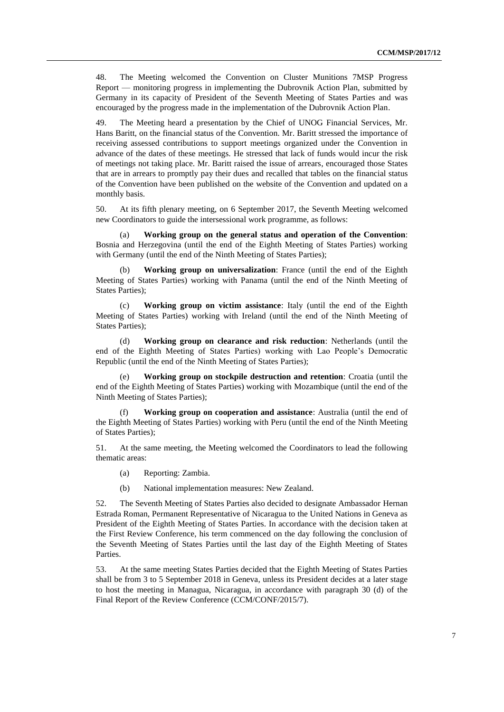48. The Meeting welcomed the Convention on Cluster Munitions 7MSP Progress Report — monitoring progress in implementing the Dubrovnik Action Plan, submitted by Germany in its capacity of President of the Seventh Meeting of States Parties and was encouraged by the progress made in the implementation of the Dubrovnik Action Plan.

49. The Meeting heard a presentation by the Chief of UNOG Financial Services, Mr. Hans Baritt, on the financial status of the Convention. Mr. Baritt stressed the importance of receiving assessed contributions to support meetings organized under the Convention in advance of the dates of these meetings. He stressed that lack of funds would incur the risk of meetings not taking place. Mr. Baritt raised the issue of arrears, encouraged those States that are in arrears to promptly pay their dues and recalled that tables on the financial status of the Convention have been published on the website of the Convention and updated on a monthly basis.

50. At its fifth plenary meeting, on 6 September 2017, the Seventh Meeting welcomed new Coordinators to guide the intersessional work programme, as follows:

(a) **Working group on the general status and operation of the Convention**: Bosnia and Herzegovina (until the end of the Eighth Meeting of States Parties) working with Germany (until the end of the Ninth Meeting of States Parties);

(b) **Working group on universalization**: France (until the end of the Eighth Meeting of States Parties) working with Panama (until the end of the Ninth Meeting of States Parties);

(c) **Working group on victim assistance**: Italy (until the end of the Eighth Meeting of States Parties) working with Ireland (until the end of the Ninth Meeting of States Parties);

(d) **Working group on clearance and risk reduction**: Netherlands (until the end of the Eighth Meeting of States Parties) working with Lao People's Democratic Republic (until the end of the Ninth Meeting of States Parties);

**Working group on stockpile destruction and retention**: Croatia (until the end of the Eighth Meeting of States Parties) working with Mozambique (until the end of the Ninth Meeting of States Parties);

**Working group on cooperation and assistance**: Australia (until the end of the Eighth Meeting of States Parties) working with Peru (until the end of the Ninth Meeting of States Parties);

51. At the same meeting, the Meeting welcomed the Coordinators to lead the following thematic areas:

- (a) Reporting: Zambia.
- (b) National implementation measures: New Zealand.

52. The Seventh Meeting of States Parties also decided to designate Ambassador Hernan Estrada Roman, Permanent Representative of Nicaragua to the United Nations in Geneva as President of the Eighth Meeting of States Parties. In accordance with the decision taken at the First Review Conference, his term commenced on the day following the conclusion of the Seventh Meeting of States Parties until the last day of the Eighth Meeting of States Parties.

53. At the same meeting States Parties decided that the Eighth Meeting of States Parties shall be from 3 to 5 September 2018 in Geneva, unless its President decides at a later stage to host the meeting in Managua, Nicaragua, in accordance with paragraph 30 (d) of the Final Report of the Review Conference (CCM/CONF/2015/7).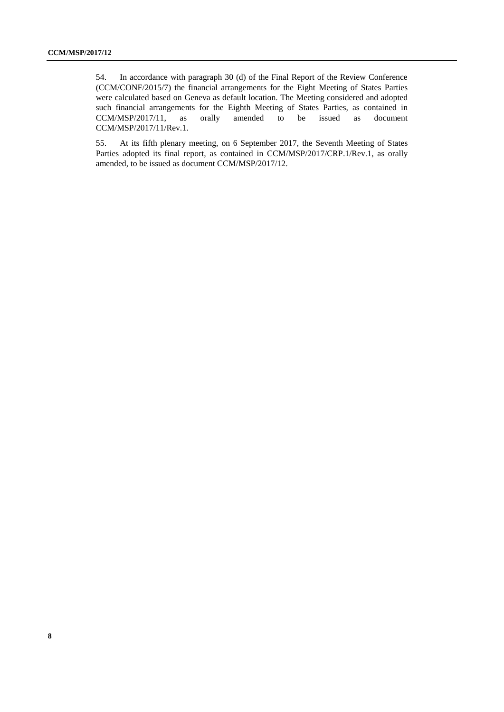54. In accordance with paragraph 30 (d) of the Final Report of the Review Conference (CCM/CONF/2015/7) the financial arrangements for the Eight Meeting of States Parties were calculated based on Geneva as default location. The Meeting considered and adopted such financial arrangements for the Eighth Meeting of States Parties, as contained in CCM/MSP/2017/11, as orally amended to be issued as document CCM/MSP/2017/11/Rev.1.

55. At its fifth plenary meeting, on 6 September 2017, the Seventh Meeting of States Parties adopted its final report, as contained in CCM/MSP/2017/CRP.1/Rev.1, as orally amended, to be issued as document CCM/MSP/2017/12.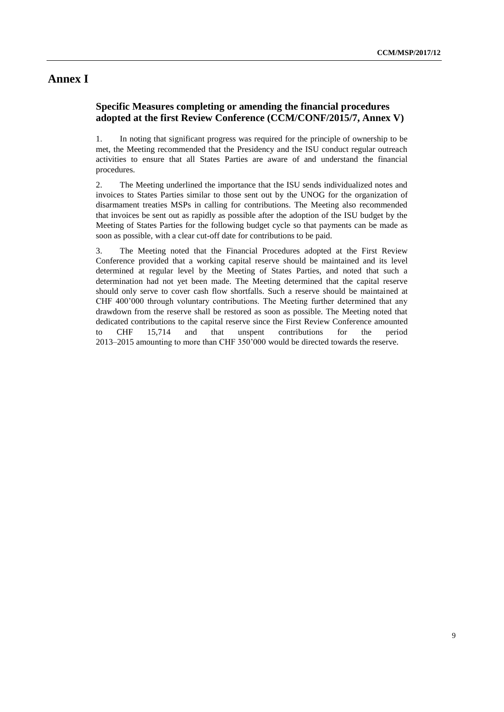### **Annex I**

#### **Specific Measures completing or amending the financial procedures adopted at the first Review Conference (CCM/CONF/2015/7, Annex V)**

1. In noting that significant progress was required for the principle of ownership to be met, the Meeting recommended that the Presidency and the ISU conduct regular outreach activities to ensure that all States Parties are aware of and understand the financial procedures.

2. The Meeting underlined the importance that the ISU sends individualized notes and invoices to States Parties similar to those sent out by the UNOG for the organization of disarmament treaties MSPs in calling for contributions. The Meeting also recommended that invoices be sent out as rapidly as possible after the adoption of the ISU budget by the Meeting of States Parties for the following budget cycle so that payments can be made as soon as possible, with a clear cut-off date for contributions to be paid.

3. The Meeting noted that the Financial Procedures adopted at the First Review Conference provided that a working capital reserve should be maintained and its level determined at regular level by the Meeting of States Parties, and noted that such a determination had not yet been made. The Meeting determined that the capital reserve should only serve to cover cash flow shortfalls. Such a reserve should be maintained at CHF 400'000 through voluntary contributions. The Meeting further determined that any drawdown from the reserve shall be restored as soon as possible. The Meeting noted that dedicated contributions to the capital reserve since the First Review Conference amounted to CHF 15,714 and that unspent contributions for the period 2013–2015 amounting to more than CHF 350'000 would be directed towards the reserve.